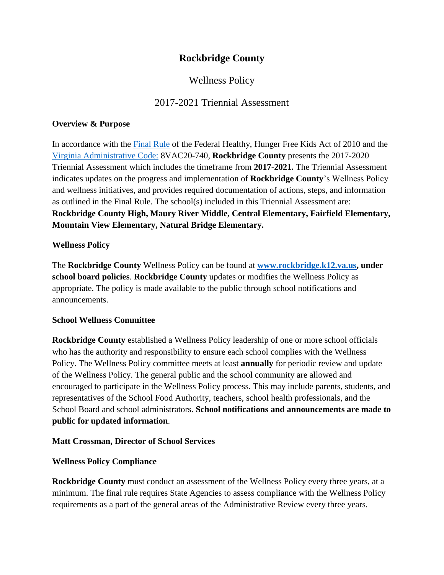# **Rockbridge County**

# Wellness Policy

### 2017-2021 Triennial Assessment

#### **Overview & Purpose**

In accordance with the [Final Rule](https://fns-prod.azureedge.net/sites/default/files/tn/LWPsummary_finalrule.pdf) of the Federal Healthy, Hunger Free Kids Act of 2010 and the [Virginia Administrative Code:](https://law.lis.virginia.gov/admincode/title8/agency20/chapter740/) 8VAC20-740*,* **Rockbridge County** presents the 2017-2020 Triennial Assessment which includes the timeframe from **2017-2021.** The Triennial Assessment indicates updates on the progress and implementation of **Rockbridge County**'s Wellness Policy and wellness initiatives, and provides required documentation of actions, steps, and information as outlined in the Final Rule. The school(s) included in this Triennial Assessment are: **Rockbridge County High, Maury River Middle, Central Elementary, Fairfield Elementary, Mountain View Elementary, Natural Bridge Elementary.**

### **Wellness Policy**

The **Rockbridge County** Wellness Policy can be found at **[www.rockbridge.k12.va.us,](http://www.rockbridge.k12.va.us/) under school board policies**. **Rockbridge County** updates or modifies the Wellness Policy as appropriate. The policy is made available to the public through school notifications and announcements.

#### **School Wellness Committee**

**Rockbridge County** established a Wellness Policy leadership of one or more school officials who has the authority and responsibility to ensure each school complies with the Wellness Policy. The Wellness Policy committee meets at least **annually** for periodic review and update of the Wellness Policy. The general public and the school community are allowed and encouraged to participate in the Wellness Policy process. This may include parents, students, and representatives of the School Food Authority, teachers, school health professionals, and the School Board and school administrators. **School notifications and announcements are made to public for updated information**.

### **Matt Crossman, Director of School Services**

### **Wellness Policy Compliance**

**Rockbridge County** must conduct an assessment of the Wellness Policy every three years, at a minimum. The final rule requires State Agencies to assess compliance with the Wellness Policy requirements as a part of the general areas of the Administrative Review every three years.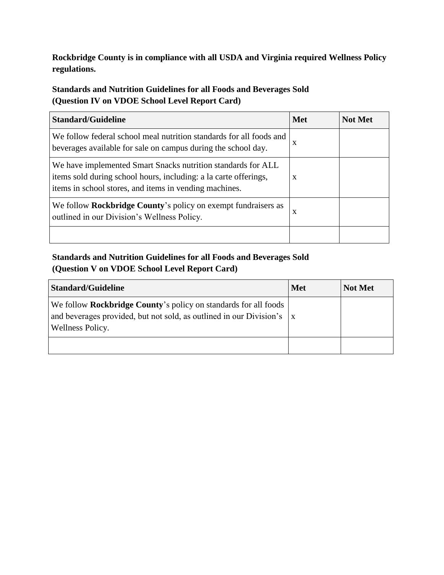**Rockbridge County is in compliance with all USDA and Virginia required Wellness Policy regulations.**

**Standards and Nutrition Guidelines for all Foods and Beverages Sold (Question IV on VDOE School Level Report Card)**

| <b>Standard/Guideline</b>                                                                                                                                                                  | <b>Met</b>   | <b>Not Met</b> |
|--------------------------------------------------------------------------------------------------------------------------------------------------------------------------------------------|--------------|----------------|
| We follow federal school meal nutrition standards for all foods and<br>beverages available for sale on campus during the school day.                                                       | $\mathbf{x}$ |                |
| We have implemented Smart Snacks nutrition standards for ALL<br>items sold during school hours, including: a la carte offerings,<br>items in school stores, and items in vending machines. | X            |                |
| We follow <b>Rockbridge County's</b> policy on exempt fundraisers as<br>outlined in our Division's Wellness Policy.                                                                        | X            |                |
|                                                                                                                                                                                            |              |                |

# **Standards and Nutrition Guidelines for all Foods and Beverages Sold (Question V on VDOE School Level Report Card)**

| <b>Standard/Guideline</b>                                                                                                                                                 | <b>Met</b> | <b>Not Met</b> |
|---------------------------------------------------------------------------------------------------------------------------------------------------------------------------|------------|----------------|
| We follow <b>Rockbridge County's</b> policy on standards for all foods<br>and beverages provided, but not sold, as outlined in our Division's $\ x\ $<br>Wellness Policy. |            |                |
|                                                                                                                                                                           |            |                |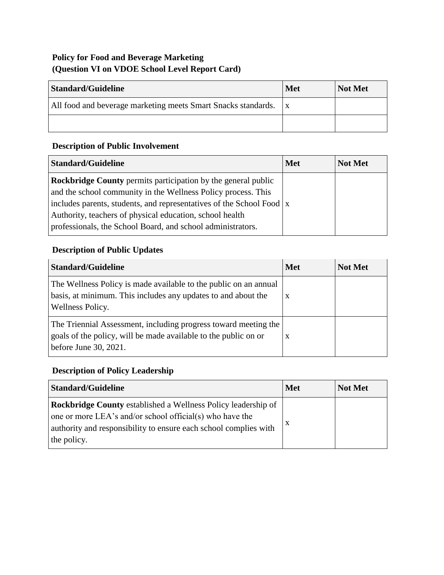# **Policy for Food and Beverage Marketing (Question VI on VDOE School Level Report Card)**

| <b>Standard/Guideline</b>                                     | <b>Met</b> | <b>Not Met</b> |
|---------------------------------------------------------------|------------|----------------|
| All food and beverage marketing meets Smart Snacks standards. |            |                |
|                                                               |            |                |

# **Description of Public Involvement**

| Standard/Guideline                                                                 | <b>Met</b> | <b>Not Met</b> |
|------------------------------------------------------------------------------------|------------|----------------|
| <b>Rockbridge County</b> permits participation by the general public               |            |                |
| and the school community in the Wellness Policy process. This                      |            |                |
| includes parents, students, and representatives of the School Food $\vert x \vert$ |            |                |
| Authority, teachers of physical education, school health                           |            |                |
| professionals, the School Board, and school administrators.                        |            |                |

# **Description of Public Updates**

| <b>Standard/Guideline</b>                                                                                                                                   | <b>Met</b> | <b>Not Met</b> |
|-------------------------------------------------------------------------------------------------------------------------------------------------------------|------------|----------------|
| The Wellness Policy is made available to the public on an annual<br>basis, at minimum. This includes any updates to and about the<br>Wellness Policy.       | X          |                |
| The Triennial Assessment, including progress toward meeting the<br>goals of the policy, will be made available to the public on or<br>before June 30, 2021. | X          |                |

# **Description of Policy Leadership**

| <b>Standard/Guideline</b>                                                                                                                                                                                           | <b>Met</b> | Not Met |
|---------------------------------------------------------------------------------------------------------------------------------------------------------------------------------------------------------------------|------------|---------|
| <b>Rockbridge County established a Wellness Policy leadership of</b><br>one or more LEA's and/or school official(s) who have the<br>authority and responsibility to ensure each school complies with<br>the policy. |            |         |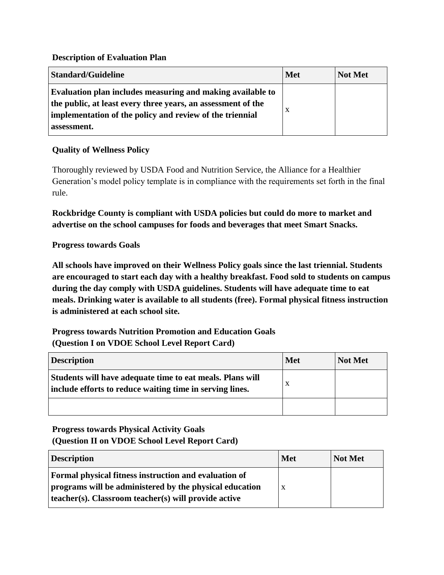#### **Description of Evaluation Plan**

| <b>Standard/Guideline</b>                                                                                                                                                                             | <b>Met</b> | <b>Not Met</b> |
|-------------------------------------------------------------------------------------------------------------------------------------------------------------------------------------------------------|------------|----------------|
| Evaluation plan includes measuring and making available to<br>the public, at least every three years, an assessment of the<br>implementation of the policy and review of the triennial<br>assessment. | X          |                |

#### **Quality of Wellness Policy**

Thoroughly reviewed by USDA Food and Nutrition Service, the Alliance for a Healthier Generation's model policy template is in compliance with the requirements set forth in the final rule.

**Rockbridge County is compliant with USDA policies but could do more to market and advertise on the school campuses for foods and beverages that meet Smart Snacks.**

#### **Progress towards Goals**

**All schools have improved on their Wellness Policy goals since the last triennial. Students are encouraged to start each day with a healthy breakfast. Food sold to students on campus during the day comply with USDA guidelines. Students will have adequate time to eat meals. Drinking water is available to all students (free). Formal physical fitness instruction is administered at each school site.** 

**Progress towards Nutrition Promotion and Education Goals (Question I on VDOE School Level Report Card)**

| <b>Description</b>                                                                                                    | <b>Met</b> | Not Met |
|-----------------------------------------------------------------------------------------------------------------------|------------|---------|
| Students will have adequate time to eat meals. Plans will<br>include efforts to reduce waiting time in serving lines. | X          |         |
|                                                                                                                       |            |         |

### **Progress towards Physical Activity Goals (Question II on VDOE School Level Report Card)**

| <b>Description</b>                                                                                                                                                              | <b>Met</b>   | <b>Not Met</b> |
|---------------------------------------------------------------------------------------------------------------------------------------------------------------------------------|--------------|----------------|
| <b>Formal physical fitness instruction and evaluation of</b><br>programs will be administered by the physical education<br>teacher(s). Classroom teacher(s) will provide active | $\mathbf{X}$ |                |